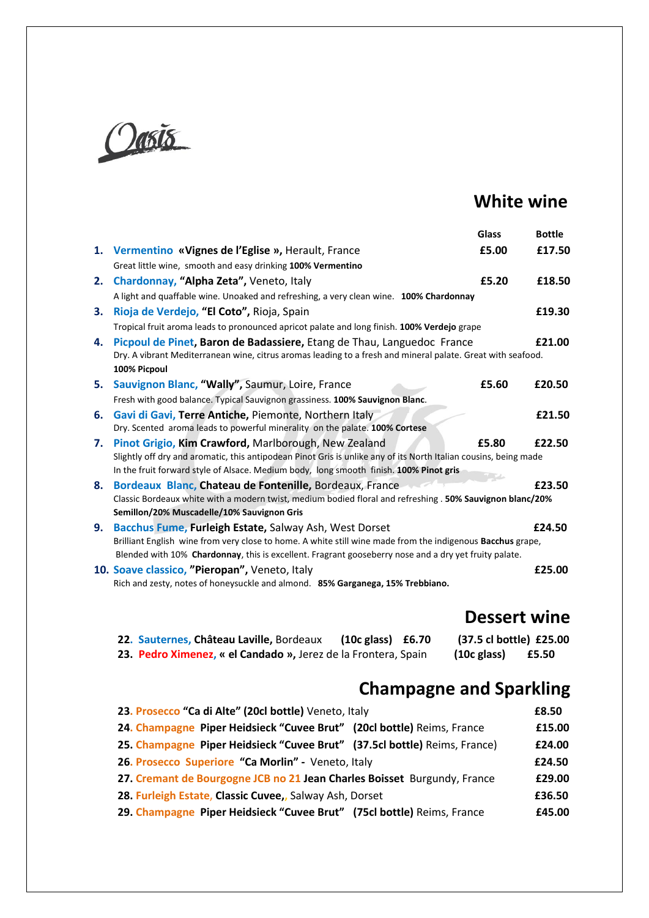

## **White wine**

|    |                                                                                                                                                                                                                                                                    | Glass | <b>Bottle</b> |
|----|--------------------------------------------------------------------------------------------------------------------------------------------------------------------------------------------------------------------------------------------------------------------|-------|---------------|
|    | 1. Vermentino «Vignes de l'Eglise », Herault, France                                                                                                                                                                                                               | £5.00 | £17.50        |
|    | Great little wine, smooth and easy drinking 100% Vermentino                                                                                                                                                                                                        |       |               |
| 2. | Chardonnay, "Alpha Zeta", Veneto, Italy                                                                                                                                                                                                                            | £5.20 | £18.50        |
|    | A light and quaffable wine. Unoaked and refreshing, a very clean wine. 100% Chardonnay                                                                                                                                                                             |       |               |
| 3. | Rioja de Verdejo, "El Coto", Rioja, Spain                                                                                                                                                                                                                          |       | £19.30        |
|    | Tropical fruit aroma leads to pronounced apricot palate and long finish. 100% Verdejo grape                                                                                                                                                                        |       |               |
| 4. | Picpoul de Pinet, Baron de Badassiere, Etang de Thau, Languedoc France<br>Dry. A vibrant Mediterranean wine, citrus aromas leading to a fresh and mineral palate. Great with seafood.                                                                              |       | £21.00        |
|    | 100% Picpoul                                                                                                                                                                                                                                                       |       |               |
| 5. | Sauvignon Blanc, "Wally", Saumur, Loire, France                                                                                                                                                                                                                    | £5.60 | £20.50        |
|    | Fresh with good balance. Typical Sauvignon grassiness. 100% Sauvignon Blanc.                                                                                                                                                                                       |       |               |
| 6. | Gavi di Gavi, Terre Antiche, Piemonte, Northern Italy<br>Dry. Scented aroma leads to powerful minerality on the palate. 100% Cortese                                                                                                                               |       | £21.50        |
| 7. | Pinot Grigio, Kim Crawford, Marlborough, New Zealand<br>Slightly off dry and aromatic, this antipodean Pinot Gris is unlike any of its North Italian cousins, being made<br>In the fruit forward style of Alsace. Medium body, long smooth finish. 100% Pinot gris | £5.80 | £22.50        |
|    | Bordeaux Blanc, Chateau de Fontenille, Bordeaux, France                                                                                                                                                                                                            |       | £23.50        |
| 8. | Classic Bordeaux white with a modern twist, medium bodied floral and refreshing . 50% Sauvignon blanc/20%                                                                                                                                                          |       |               |
|    | Semillon/20% Muscadelle/10% Sauvignon Gris                                                                                                                                                                                                                         |       |               |
| 9. | Bacchus Fume, Furleigh Estate, Salway Ash, West Dorset<br>Brilliant English wine from very close to home. A white still wine made from the indigenous Bacchus grape,                                                                                               |       | £24.50        |
|    | Blended with 10% Chardonnay, this is excellent. Fragrant gooseberry nose and a dry yet fruity palate.                                                                                                                                                              |       |               |
|    | 10. Soave classico, "Pieropan", Veneto, Italy                                                                                                                                                                                                                      |       | £25.00        |
|    | Rich and zesty, notes of honeysuckle and almond. 85% Garganega, 15% Trebbiano.                                                                                                                                                                                     |       |               |

## **Dessert wine**

| 22. Sauternes, Château Laville, Bordeaux                       | $(10c$ glass) $£6.70$ | (37.5 cl bottle) £25.00 |       |
|----------------------------------------------------------------|-----------------------|-------------------------|-------|
| 23. Pedro Ximenez, « el Candado », Jerez de la Frontera, Spain |                       | $(10c$ glass)           | £5.50 |

## **Champagne and Sparkling**

| 23. Prosecco "Ca di Alte" (20cl bottle) Veneto, Italy                     | £8.50  |
|---------------------------------------------------------------------------|--------|
| 24. Champagne Piper Heidsieck "Cuvee Brut" (20cl bottle) Reims, France    | £15.00 |
| 25. Champagne Piper Heidsieck "Cuvee Brut" (37.5cl bottle) Reims, France) | £24.00 |
| 26. Prosecco Superiore "Ca Morlin" - Veneto, Italy                        | £24.50 |
| 27. Cremant de Bourgogne JCB no 21 Jean Charles Boisset Burgundy, France  | £29.00 |
| 28. Furleigh Estate, Classic Cuvee,, Salway Ash, Dorset                   | £36.50 |
| 29. Champagne Piper Heidsieck "Cuvee Brut" (75cl bottle) Reims, France    | £45.00 |